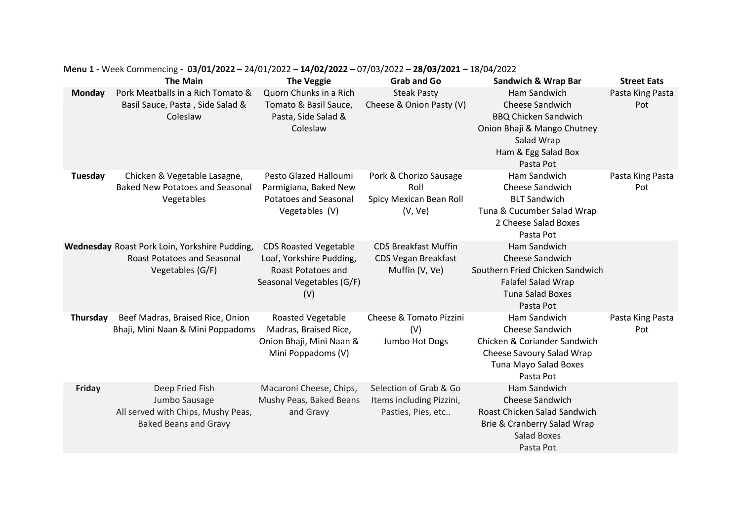|               | <b>The Main</b>                                                                                         | <b>The Veggie</b>                                                                                                  | <b>Grab and Go</b>                                                          | <b>Sandwich &amp; Wrap Bar</b>                                                                                                                  | <b>Street Eats</b>      |
|---------------|---------------------------------------------------------------------------------------------------------|--------------------------------------------------------------------------------------------------------------------|-----------------------------------------------------------------------------|-------------------------------------------------------------------------------------------------------------------------------------------------|-------------------------|
| <b>Monday</b> | Pork Meatballs in a Rich Tomato &<br>Basil Sauce, Pasta, Side Salad &<br>Coleslaw                       | Quorn Chunks in a Rich<br>Tomato & Basil Sauce,<br>Pasta, Side Salad &<br>Coleslaw                                 | <b>Steak Pasty</b><br>Cheese & Onion Pasty (V)                              | Ham Sandwich<br>Cheese Sandwich<br><b>BBQ Chicken Sandwich</b><br>Onion Bhaji & Mango Chutney<br>Salad Wrap<br>Ham & Egg Salad Box<br>Pasta Pot | Pasta King Pasta<br>Pot |
| Tuesday       | Chicken & Vegetable Lasagne,<br><b>Baked New Potatoes and Seasonal</b><br>Vegetables                    | Pesto Glazed Halloumi<br>Parmigiana, Baked New<br><b>Potatoes and Seasonal</b><br>Vegetables (V)                   | Pork & Chorizo Sausage<br>Roll<br>Spicy Mexican Bean Roll<br>(V, Ve)        | Ham Sandwich<br>Cheese Sandwich<br><b>BLT Sandwich</b><br>Tuna & Cucumber Salad Wrap<br>2 Cheese Salad Boxes<br>Pasta Pot                       | Pasta King Pasta<br>Pot |
|               | Wednesday Roast Pork Loin, Yorkshire Pudding,<br><b>Roast Potatoes and Seasonal</b><br>Vegetables (G/F) | <b>CDS Roasted Vegetable</b><br>Loaf, Yorkshire Pudding,<br>Roast Potatoes and<br>Seasonal Vegetables (G/F)<br>(V) | <b>CDS Breakfast Muffin</b><br><b>CDS Vegan Breakfast</b><br>Muffin (V, Ve) | Ham Sandwich<br>Cheese Sandwich<br>Southern Fried Chicken Sandwich<br>Falafel Salad Wrap<br><b>Tuna Salad Boxes</b><br>Pasta Pot                |                         |
| Thursday      | Beef Madras, Braised Rice, Onion<br>Bhaji, Mini Naan & Mini Poppadoms                                   | Roasted Vegetable<br>Madras, Braised Rice,<br>Onion Bhaji, Mini Naan &<br>Mini Poppadoms (V)                       | Cheese & Tomato Pizzini<br>(V)<br>Jumbo Hot Dogs                            | Ham Sandwich<br>Cheese Sandwich<br>Chicken & Coriander Sandwich<br>Cheese Savoury Salad Wrap<br>Tuna Mayo Salad Boxes<br>Pasta Pot              | Pasta King Pasta<br>Pot |
| <b>Friday</b> | Deep Fried Fish<br>Jumbo Sausage<br>All served with Chips, Mushy Peas,<br><b>Baked Beans and Gravy</b>  | Macaroni Cheese, Chips,<br>Mushy Peas, Baked Beans<br>and Gravy                                                    | Selection of Grab & Go<br>Items including Pizzini,<br>Pasties, Pies, etc    | Ham Sandwich<br><b>Cheese Sandwich</b><br>Roast Chicken Salad Sandwich<br>Brie & Cranberry Salad Wrap<br><b>Salad Boxes</b><br>Pasta Pot        |                         |

**Menu 1 -** Week Commencing **- 03/01/2022** – 24/01/2022 – **14/02/2022** – 07/03/2022 – **28/03/2021 –** 18/04/2022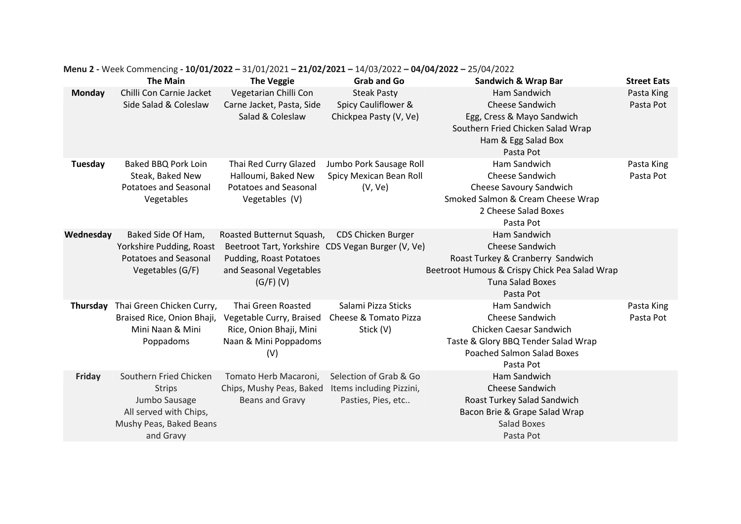|               | <b>The Main</b>                                                                                                            | <b>The Veggie</b>                                                                                                               | <b>Grab and Go</b>                                                       | <b>Sandwich &amp; Wrap Bar</b>                                                                                                                                | <b>Street Eats</b>      |
|---------------|----------------------------------------------------------------------------------------------------------------------------|---------------------------------------------------------------------------------------------------------------------------------|--------------------------------------------------------------------------|---------------------------------------------------------------------------------------------------------------------------------------------------------------|-------------------------|
| Monday        | Chilli Con Carnie Jacket                                                                                                   | Vegetarian Chilli Con                                                                                                           | <b>Steak Pasty</b>                                                       | Ham Sandwich                                                                                                                                                  | Pasta King              |
|               | Side Salad & Coleslaw                                                                                                      | Carne Jacket, Pasta, Side<br>Salad & Coleslaw                                                                                   | Spicy Cauliflower &<br>Chickpea Pasty (V, Ve)                            | Cheese Sandwich<br>Egg, Cress & Mayo Sandwich<br>Southern Fried Chicken Salad Wrap<br>Ham & Egg Salad Box<br>Pasta Pot                                        | Pasta Pot               |
| Tuesday       | Baked BBQ Pork Loin<br>Steak, Baked New<br><b>Potatoes and Seasonal</b><br>Vegetables                                      | Thai Red Curry Glazed<br>Halloumi, Baked New<br><b>Potatoes and Seasonal</b><br>Vegetables (V)                                  | Jumbo Pork Sausage Roll<br>Spicy Mexican Bean Roll<br>(V, Ve)            | Ham Sandwich<br>Cheese Sandwich<br><b>Cheese Savoury Sandwich</b><br>Smoked Salmon & Cream Cheese Wrap<br>2 Cheese Salad Boxes<br>Pasta Pot                   | Pasta King<br>Pasta Pot |
| Wednesday     | Baked Side Of Ham,<br>Yorkshire Pudding, Roast<br><b>Potatoes and Seasonal</b><br>Vegetables (G/F)                         | Roasted Butternut Squash,<br>Pudding, Roast Potatoes<br>and Seasonal Vegetables<br>$(G/F)$ (V)                                  | CDS Chicken Burger<br>Beetroot Tart, Yorkshire CDS Vegan Burger (V, Ve)  | Ham Sandwich<br>Cheese Sandwich<br>Roast Turkey & Cranberry Sandwich<br>Beetroot Humous & Crispy Chick Pea Salad Wrap<br><b>Tuna Salad Boxes</b><br>Pasta Pot |                         |
| Thursday      | Thai Green Chicken Curry,<br>Braised Rice, Onion Bhaji,<br>Mini Naan & Mini<br>Poppadoms                                   | Thai Green Roasted<br>Vegetable Curry, Braised Cheese & Tomato Pizza<br>Rice, Onion Bhaji, Mini<br>Naan & Mini Poppadoms<br>(V) | Salami Pizza Sticks<br>Stick (V)                                         | Ham Sandwich<br><b>Cheese Sandwich</b><br>Chicken Caesar Sandwich<br>Taste & Glory BBQ Tender Salad Wrap<br><b>Poached Salmon Salad Boxes</b><br>Pasta Pot    | Pasta King<br>Pasta Pot |
| <b>Friday</b> | Southern Fried Chicken<br><b>Strips</b><br>Jumbo Sausage<br>All served with Chips,<br>Mushy Peas, Baked Beans<br>and Gravy | Tomato Herb Macaroni,<br>Chips, Mushy Peas, Baked<br>Beans and Gravy                                                            | Selection of Grab & Go<br>Items including Pizzini,<br>Pasties, Pies, etc | Ham Sandwich<br><b>Cheese Sandwich</b><br>Roast Turkey Salad Sandwich<br>Bacon Brie & Grape Salad Wrap<br><b>Salad Boxes</b><br>Pasta Pot                     |                         |

## **Menu 2 -** Week Commencing **- 10/01/2022 –** 31/01/2021 **– 21/02/2021 –** 14/03/2022 **– 04/04/2022 –** 25/04/2022